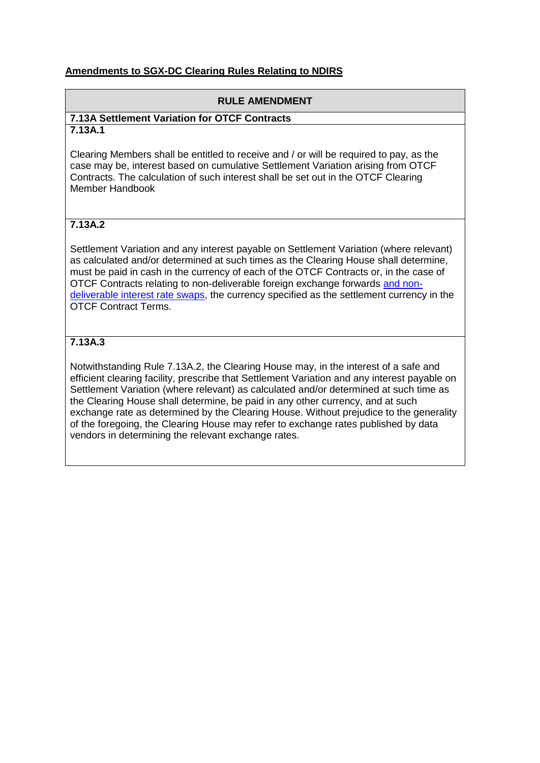### **Amendments to SGX-DC Clearing Rules Relating to NDIRS**

#### **RULE AMENDMENT**

#### **7.13A Settlement Variation for OTCF Contracts 7.13A.1**

Clearing Members shall be entitled to receive and / or will be required to pay, as the case may be, interest based on cumulative Settlement Variation arising from OTCF Contracts. The calculation of such interest shall be set out in the OTCF Clearing Member Handbook

# **7.13A.2**

Settlement Variation and any interest payable on Settlement Variation (where relevant) as calculated and/or determined at such times as the Clearing House shall determine, must be paid in cash in the currency of each of the OTCF Contracts or, in the case of OTCF Contracts relating to non-deliverable foreign exchange forwards and nondeliverable interest rate swaps, the currency specified as the settlement currency in the OTCF Contract Terms.

# **7.13A.3**

Notwithstanding [Rule 7.13A.2,](http://rulebook.sgx.com/en/display/en/display/display.html?rbid=3271&element_id=2424) the Clearing House may, in the interest of a safe and efficient clearing facility, prescribe that Settlement Variation and any interest payable on Settlement Variation (where relevant) as calculated and/or determined at such time as the Clearing House shall determine, be paid in any other currency, and at such exchange rate as determined by the Clearing House. Without prejudice to the generality of the foregoing, the Clearing House may refer to exchange rates published by data vendors in determining the relevant exchange rates.